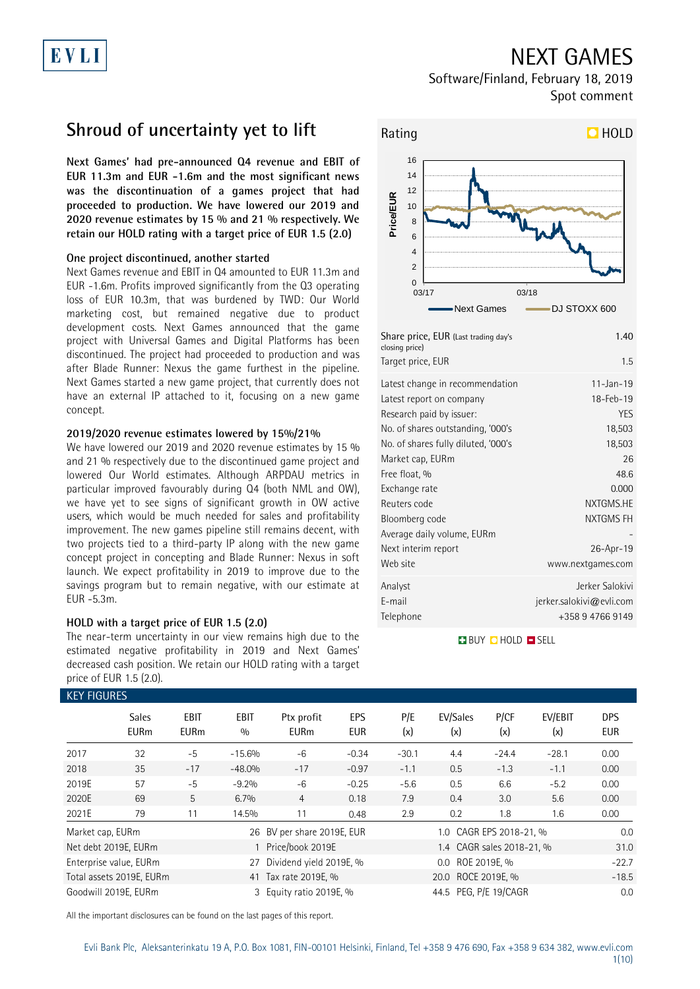## NEXT GAMES

Software/Finland, February 18, 2019 Spot comment

## **Shroud of uncertainty yet to lift**

EVLI

**Next Games' had pre-announced Q4 revenue and EBIT of EUR 11.3m and EUR -1.6m and the most significant news was the discontinuation of a games project that had proceeded to production. We have lowered our 2019 and 2020 revenue estimates by 15 % and 21 % respectively. We retain our HOLD rating with a target price of EUR 1.5 (2.0)**

### **One project discontinued, another started**

Next Games revenue and EBIT in Q4 amounted to EUR 11.3m and EUR -1.6m. Profits improved significantly from the Q3 operating loss of EUR 10.3m, that was burdened by TWD: Our World marketing cost, but remained negative due to product development costs. Next Games announced that the game project with Universal Games and Digital Platforms has been discontinued. The project had proceeded to production and was after Blade Runner: Nexus the game furthest in the pipeline. Next Games started a new game project, that currently does not have an external IP attached to it, focusing on a new game concept.

### **2019/2020 revenue estimates lowered by 15%/21%**

We have lowered our 2019 and 2020 revenue estimates by 15 % and 21 % respectively due to the discontinued game project and lowered Our World estimates. Although ARPDAU metrics in particular improved favourably during Q4 (both NML and OW), we have yet to see signs of significant growth in OW active users, which would be much needed for sales and profitability improvement. The new games pipeline still remains decent, with two projects tied to a third-party IP along with the new game concept project in concepting and Blade Runner: Nexus in soft launch. We expect profitability in 2019 to improve due to the savings program but to remain negative, with our estimate at EUR -5.3m.

### **HOLD with a target price of EUR 1.5 (2.0)**

The near-term uncertainty in our view remains high due to the estimated negative profitability in 2019 and Next Games' decreased cash position. We retain our HOLD rating with a target price of EUR 1.5 (2.0).



| Latest change in recommendation     | $11 - Jan - 19$             |
|-------------------------------------|-----------------------------|
| Latest report on company            | 18-Feb-19                   |
| Research paid by issuer:            | YES                         |
| No. of shares outstanding, '000's   | 18,503                      |
| No. of shares fully diluted, '000's | 18,503                      |
| Market cap, EURm                    | 26                          |
| Free float, %                       | 48.6                        |
| Exchange rate                       | 0.000                       |
| Reuters code                        | NXTGMS.HE                   |
| Bloomberg code                      | NXTGMS FH                   |
| Average daily volume, EURm          |                             |
| Next interim report                 | 26-Apr-19                   |
| Web site                            | www.nextgames.com           |
| Analyst                             | Jerker Salokivi             |
| E-mail                              | $j$ erker.salokivi@evli.com |
| Telephone                           | +358 9 4766 9149            |
|                                     |                             |

**BUY QHOLD SELL** 

| <b>KEY FIGURES</b> |                             |                     |                    |                            |            |                       |                           |             |                |                   |  |
|--------------------|-----------------------------|---------------------|--------------------|----------------------------|------------|-----------------------|---------------------------|-------------|----------------|-------------------|--|
|                    | <b>Sales</b><br><b>EURm</b> | EBIT<br><b>EURm</b> | <b>EBIT</b><br>0/0 | Ptx profit<br><b>EURm</b>  | EPS<br>EUR | P/E<br>(x)            | EV/Sales<br>(x)           | P/CF<br>(x) | EV/EBIT<br>(x) | DPS<br><b>EUR</b> |  |
| 2017               | 32                          | $-5$                | $-15.6%$           | -6                         | $-0.34$    | $-30.1$               | 4.4                       | $-24.4$     | $-28.1$        | 0.00              |  |
| 2018               | 35                          | $-17$               | $-48.0%$           | $-17$                      | $-0.97$    | $-1.1$                | 0.5                       | $-1.3$      | $-1.1$         | 0.00              |  |
| 2019E              | 57                          | $-5$                | $-9.2%$            | $-6$                       | $-0.25$    | $-5.6$                | 0.5                       | 6.6         | $-5.2$         | 0.00              |  |
| 2020E              | 69                          | 5                   | 6.7%               | 4                          | 0.18       | 7.9                   | 0.4                       | 3.0         | 5.6            | 0.00              |  |
| 2021E              | 79                          | 11                  | 14.5%              | 11                         | 0.48       | 2.9                   | 0.2                       | 1.8         | 1.6            | 0.00              |  |
| Market cap, EURm   |                             |                     |                    | 26 BV per share 2019E, EUR |            |                       | 1.0 CAGR EPS 2018-21, %   |             |                | 0.0               |  |
|                    | Net debt 2019E, EURm        |                     |                    | Price/book 2019E           |            |                       | 1.4 CAGR sales 2018-21, % |             |                |                   |  |
|                    | Enterprise value, EURm      |                     | 27                 | Dividend yield 2019E, %    |            |                       | ROE 2019E, %<br>$0.0\,$   |             |                | $-22.7$           |  |
|                    | Total assets 2019E, EURm    |                     |                    | 41 Tax rate 2019E, %       |            | 20.0 ROCE 2019E, %    |                           |             |                | $-18.5$           |  |
|                    | Goodwill 2019E, EURm        |                     |                    | 3 Equity ratio 2019E, %    |            | 44.5 PEG, P/E 19/CAGR |                           |             |                | 0.0               |  |

All the important disclosures can be found on the last pages of this report.

# Evli Bank Plc, Aleksanterinkatu 19 A, P.O. Box 1081, FIN-00101 Helsinki, Finland, Tel +358 9 476 690, Fax +358 9 634 382, [www.evli.com](http://www.evli.com/)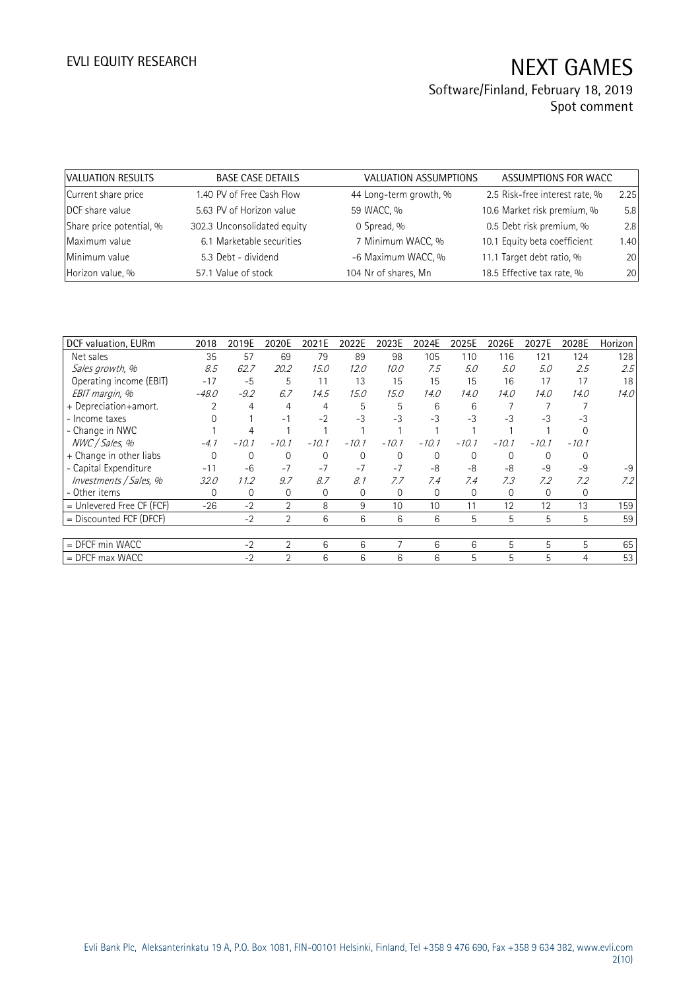| VALUATION RESULTS        | <b>BASE CASE DETAILS</b>    | VALUATION ASSUMPTIONS  | ASSUMPTIONS FOR WACC           |      |
|--------------------------|-----------------------------|------------------------|--------------------------------|------|
| Current share price      | 1.40 PV of Free Cash Flow   | 44 Long-term growth, % | 2.5 Risk-free interest rate, % | 2.25 |
| DCF share value          | 5.63 PV of Horizon value    | 59 WACC, %             | 10.6 Market risk premium, %    | 5.8  |
| Share price potential, % | 302.3 Unconsolidated equity | 0 Spread, %            | 0.5 Debt risk premium, %       | 2.8  |
| Maximum value            | 6.1 Marketable securities   | 7 Minimum WACC, %      | 10.1 Equity beta coefficient   | 1.40 |
| Minimum value            | 5.3 Debt - dividend         | -6 Maximum WACC, %     | 11.1 Target debt ratio, %      | 20   |
| Horizon value, %         | 57.1 Value of stock         | 104 Nr of shares, Mn   | 18.5 Effective tax rate, %     | 20   |

| DCF valuation, EURm       | 2018     | 2019E   | 2020E          | 2021E   | 2022E    | 2023E    | 2024E    | 2025E    | 2026E    | 2027E   | 2028E       | Horizon |
|---------------------------|----------|---------|----------------|---------|----------|----------|----------|----------|----------|---------|-------------|---------|
| Net sales                 | 35       | 57      | 69             | 79      | 89       | 98       | 105      | 110      | 116      | 121     | 124         | 128     |
| Sales growth, %           | 8.5      | 62.7    | 20.2           | 15.0    | 12.0     | 10.0     | 7.5      | 5.0      | 5.0      | 5.0     | 2.5         | 2.5     |
| Operating income (EBIT)   | $-17$    | $-5$    | 5              | 11      | 13       | 15       | 15       | 15       | 16       | 17      | 17          | 18      |
| EBIT margin, %            | $-48.0$  | $-9.2$  | 6.7            | 14.5    | 15.0     | 15.0     | 14.0     | 14.0     | 14.0     | 14.0    | 14.0        | 14.0    |
| + Depreciation+amort.     |          | 4       | 4              | 4       | 5        | 5        | 6        | 6        |          |         |             |         |
| - Income taxes            |          |         | $-1$           | $-2$    | $-3$     | $-3$     | $-3$     | $-3$     | $-3$     | $-3$    | -3          |         |
| - Change in NWC           |          |         |                |         |          |          |          |          |          |         |             |         |
| NWC / Sales, %            | $-4.1$   | $-10.1$ | $-10.1$        | $-10.1$ | $-10.1$  | $-10.1$  | $-10.1$  | $-10.1$  | $-10.1$  | $-10.1$ | $-10.1$     |         |
| + Change in other liabs   | $\Omega$ | 0       | 0              | 0       | $\Omega$ | $\Omega$ | $\Omega$ | $\Omega$ | $\Omega$ | 0       |             |         |
| - Capital Expenditure     | $-11$    | $-6$    | $-7$           | $-7$    | $-7$     | $-7$     | $-8$     | -8       | $-8$     | $-9$    | $-9$        | $-9$    |
| Investments / Sales, %    | 32.0     | 11.2    | 9.7            | 8.7     | 8.1      | 7.7      | 7.4      | 7.4      | 7.3      | 7.2     | 7.2         | 7.2     |
| - Other items             | 0        | 0       | 0              | 0       | 0        | 0        | 0        | 0        | 0        | 0       | $\mathbf 0$ |         |
| = Unlevered Free CF (FCF) | $-26$    | $-2$    | $\overline{2}$ | 8       | 9        | 10       | 10       | 11       | 12       | 12      | 13          | 159     |
| $=$ Discounted FCF (DFCF) |          | $-2$    | $\overline{2}$ | 6       | 6        | 6        | 6        | 5        | 5        | 5       | 5           | 59      |
|                           |          |         |                |         |          |          |          |          |          |         |             |         |
| $=$ DFCF min WACC         |          | $-2$    | $\overline{2}$ | 6       | 6        |          | 6        | 6        | 5        | 5       | 5           | 65      |
| $=$ DFCF max WACC         |          | $-2$    | $\mathfrak{D}$ | 6       | 6        | 6        | 6        | 5        | 5        | 5       | 4           | 53      |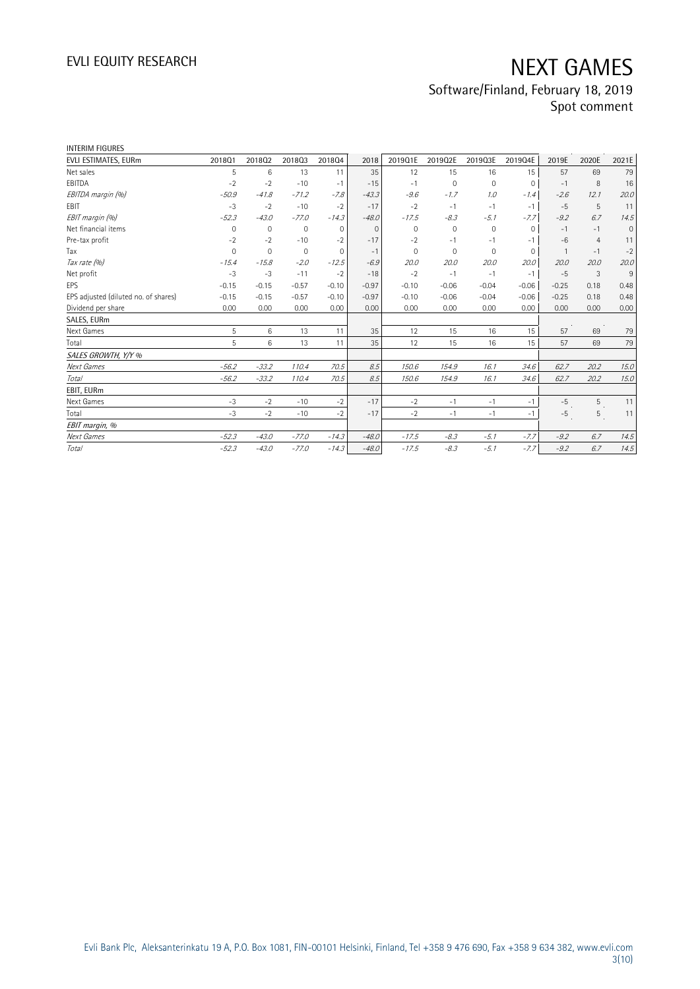| <b>INTERIM FIGURES</b>               |             |              |             |              |          |          |             |                     |              |              |                |             |
|--------------------------------------|-------------|--------------|-------------|--------------|----------|----------|-------------|---------------------|--------------|--------------|----------------|-------------|
| EVLI ESTIMATES, EURm                 | 2018Q1      | 201802       | 201803      | 201804       | 2018     | 2019Q1E  | 2019Q2E     | 2019Q3E             | 2019Q4E      | 2019E        | 2020E          | 2021E       |
| Net sales                            | 5           | 6            | 13          | 11           | 35       | 12       | 15          | 16                  | 15           | 57           | 69             | 79          |
| EBITDA                               | $-2$        | $-2$         | $-10$       | $-1$         | $-15$    | $-1$     | $\Omega$    | $\mathbf 0$         | $\mathbf{0}$ | $-1$         | 8              | 16          |
| EBITDA margin (%)                    | $-50.9$     | $-41.8$      | $-71.2$     | $-7.8$       | $-43.3$  | $-9.6$   | $-1.7$      | 1.0                 | $-1.4$       | $-2.6$       | 12.1           | 20.0        |
| EBIT                                 | $-3$        | $-2$         | $-10$       | $-2$         | $-17$    | $-2$     | $-1$        | $-1$                | $-1$         | $-5$         | 5              | 11          |
| EBIT margin (%)                      | $-52.3$     | $-43.0$      | $-77.0$     | $-14.3$      | $-48.0$  | $-17.5$  | $-8.3$      | $-5.1$              | $-7.7$       | $-9.2$       | 6.7            | 14.5        |
| Net financial items                  | 0           | $\mathbf{0}$ | $\mathbf 0$ | $\mathbf{0}$ | $\Omega$ | $\Omega$ | $\mathbf 0$ | $\mathsf{O}\xspace$ | $\Omega$     | $-1$         | $-1$           | $\mathbf 0$ |
| Pre-tax profit                       | $-2$        | $-2$         | $-10$       | $-2$         | $-17$    | $-2$     | $-1$        | $-1$                | $-1$         | $-6$         | $\overline{4}$ | 11          |
| Tax                                  | $\mathbf 0$ | $\mathbf 0$  | $\mathbf 0$ | $\mathbf{0}$ | $-1$     | $\Omega$ | 0           | 0                   | $\mathbf 0$  | $\mathbf{1}$ | $-1$           | $-2$        |
| Tax rate (%)                         | $-15.4$     | $-15.8$      | $-2.0$      | $-12.5$      | $-6.9$   | 20.0     | 20.0        | 20.0                | 20.0         | 20.0         | 20.0           | 20.0        |
| Net profit                           | $-3$        | $-3$         | $-11$       | $-2$         | $-18$    | $-2$     | $-1$        | $-1$                | $-1$         | $-5$         | 3              | 9           |
| EPS                                  | $-0.15$     | $-0.15$      | $-0.57$     | $-0.10$      | $-0.97$  | $-0.10$  | $-0.06$     | $-0.04$             | $-0.06$      | $-0.25$      | 0.18           | 0.48        |
| EPS adjusted (diluted no. of shares) | $-0.15$     | $-0.15$      | $-0.57$     | $-0.10$      | $-0.97$  | $-0.10$  | $-0.06$     | $-0.04$             | $-0.06$      | $-0.25$      | 0.18           | 0.48        |
| Dividend per share                   | 0.00        | 0.00         | 0.00        | 0.00         | 0.00     | 0.00     | 0.00        | 0.00                | 0.00         | 0.00         | 0.00           | 0.00        |
| SALES, EURm                          |             |              |             |              |          |          |             |                     |              |              |                |             |
| Next Games                           | 5           | 6            | 13          | 11           | 35       | 12       | 15          | 16                  | 15           | 57           | 69             | 79          |
| Total                                | 5           | 6            | 13          | 11           | 35       | 12       | 15          | 16                  | 15           | 57           | 69             | 79          |
| SALES GROWTH, Y/Y %                  |             |              |             |              |          |          |             |                     |              |              |                |             |
| Next Games                           | $-56.2$     | $-33.2$      | 110.4       | 70.5         | 8.5      | 150.6    | 154.9       | 16.1                | 34.6         | 62.7         | 20.2           | 15.0        |
| Total                                | $-56.2$     | $-33.2$      | 110.4       | 70.5         | 8.5      | 150.6    | 154.9       | 16.1                | 34.6         | 62.7         | 20.2           | 15.0        |
| EBIT, EURm                           |             |              |             |              |          |          |             |                     |              |              |                |             |
| Next Games                           | $-3$        | $-2$         | $-10$       | $-2$         | $-17$    | $-2$     | $-1$        | $-1$                | $-1$         | $-5$         | 5              | 11          |
| Total                                | $-3$        | $-2$         | $-10$       | $-2$         | $-17$    | $-2$     | $-1$        | $-1$                | $-1$         | $-5$         | 5              | 11          |
| EBIT margin, %                       |             |              |             |              |          |          |             |                     |              |              |                |             |
| Next Games                           | $-52.3$     | $-43.0$      | $-77.0$     | $-14.3$      | $-48.0$  | $-17.5$  | $-8.3$      | $-5.1$              | $-7.7$       | $-9.2$       | 6.7            | 14.5        |
| Total                                | $-52.3$     | $-43.0$      | $-77.0$     | $-14.3$      | $-48.0$  | $-17.5$  | $-8.3$      | $-5.1$              | $-7.7$       | $-9.2$       | 6.7            | 14.5        |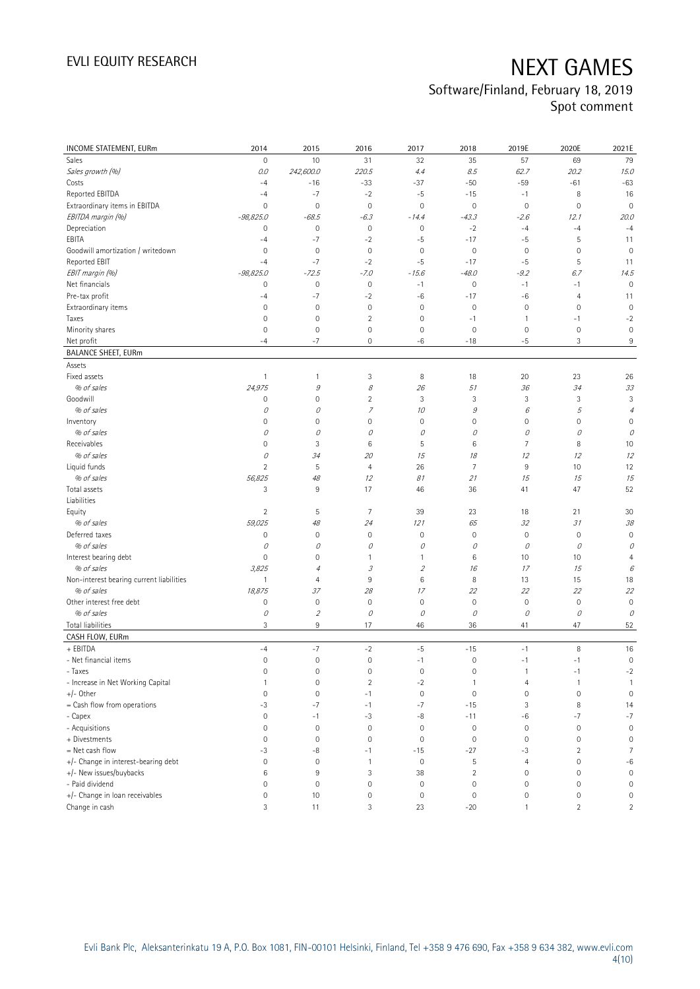| INCOME STATEMENT, EURm                   | 2014                | 2015                        | 2016                | 2017                        | 2018           | 2019E               | 2020E          | 2021E               |
|------------------------------------------|---------------------|-----------------------------|---------------------|-----------------------------|----------------|---------------------|----------------|---------------------|
| Sales                                    | $\mathsf{O}\xspace$ | 10                          | 31                  | 32                          | 35             | 57                  | 69             | 79                  |
| Sales growth (%)                         | 0.0                 | 242,600.0                   | 220.5               | 4.4                         | 8.5            | 62.7                | 20.2           | 15.0                |
| Costs                                    | $-4$                | $-16$                       | $-33$               | $-37$                       | $-50$          | $-59$               | $-61$          | $-63$               |
| Reported EBITDA                          | $-4$                | $-7$                        | $-2$                | $-5$                        | $-15$          | $-1$                | 8              | 16                  |
| Extraordinary items in EBITDA            | $\mathsf{O}\xspace$ | $\mathbf 0$                 | $\mathbf 0$         | $\mathbf 0$                 | $\mathbf 0$    | $\mathbf 0$         | $\mathbf 0$    | $\mathbf 0$         |
| EBITDA margin (%)                        | $-98,825.0$         | $-68.5$                     | $-6.3$              | $-14.4$                     | $-43.3$        | $-2.6$              | 12.1           | 20.0                |
| Depreciation                             | 0                   | $\mathbb O$                 | $\mathbf 0$         | $\mathbf 0$                 | $-2$           | $-4$                | $-4$           | $-4$                |
| EBITA                                    | $-4$                | $-7$                        | $-2$                | $-5$                        | $-17$          | $-5$                | 5              | 11                  |
| Goodwill amortization / writedown        | $\mathsf{O}\xspace$ | $\mathbf 0$                 | $\mathbf 0$         | $\mathsf{O}\xspace$         | $\mathbf 0$    | $\mathbf 0$         | 0              | $\mathbf 0$         |
| Reported EBIT                            | $-4$                | $-7$                        | $-2$                | $-5$                        | $-17$          | $-5$                | 5              | 11                  |
| EBIT margin (%)                          | $-98,825.0$         | $-72.5$                     | $-7.0$              | $-15.6$                     | $-48.0$        | $-9.2$              | 6.7            | 14.5                |
| Net financials                           | 0                   | $\mathbb O$                 | $\mathbf 0$         | $-1$                        | $\mathbb O$    | $-1$                | $-1$           | $\mathbf 0$         |
| Pre-tax profit                           | $-4$                | $-7$                        | $-2$                | $-6$                        | $-17$          | -6                  | 4              | 11                  |
| Extraordinary items                      | $\mathsf{O}\xspace$ | $\mathbf 0$                 | $\mathbf 0$         | $\mathbf 0$                 | $\mathbf 0$    | $\mathbf 0$         | $\mathbf 0$    | $\mathbf 0$         |
| Taxes                                    | $\mathbf 0$         | $\mathbf 0$                 | $\overline{c}$      | 0                           | $-1$           | $\mathbf{1}$        | $-1$           | $-2$                |
| Minority shares                          | 0                   | $\mathsf{O}\xspace$         | $\mathsf{O}\xspace$ | $\mathsf{O}\xspace$         | $\mathbf 0$    | $\mathbf 0$         | $\mathbf 0$    | $\mathbf 0$         |
| Net profit                               | $-4$                | $-7$                        | 0                   | $-6$                        | $-18$          | $-5$                | 3              | 9                   |
| <b>BALANCE SHEET, EURm</b>               |                     |                             |                     |                             |                |                     |                |                     |
| Assets                                   |                     |                             |                     |                             |                |                     |                |                     |
| Fixed assets                             | $\mathbf{1}$        | $\mathbf{1}$                | 3                   | 8                           | 18             | 20                  | 23             | 26                  |
| % of sales                               | 24,975              | 9                           | 8                   | 26                          | 51             | 36                  | 34             | 33                  |
| Goodwill                                 | 0                   | $\mathbf 0$                 | 2                   | 3                           | 3              | 3                   | 3              | 3                   |
| % of sales                               | 0                   | 0                           | $\overline{z}$      | 10                          | 9              | 6                   | 5              | $\overline{4}$      |
| Inventory                                | 0                   | $\mathbf 0$                 | 0                   | $\mathsf{O}\xspace$         | $\mathbf 0$    | $\mathbb O$         | 0              | 0                   |
| % of sales                               | 0                   | 0                           | 0                   | 0                           | 0              | 0                   | 0              | 0                   |
| Receivables                              | $\mathsf{O}\xspace$ | $\sqrt{3}$                  | 6                   | 5                           | $\,6\,$        | $7\overline{ }$     | 8              | 10                  |
| % of sales                               | 0                   | 34                          | 20                  | 15                          | 18             | 12                  | 12             | 12                  |
| Liquid funds                             | $\overline{2}$      | 5                           | $\overline{4}$      | 26                          | $\overline{7}$ | $9\,$               | 10             | 12                  |
| % of sales                               | 56,825              | 48                          | 12                  | 81                          | 21             | 15                  | 15             | 15                  |
| Total assets                             | 3                   | 9                           | 17                  | 46                          | 36             | 41                  | 47             | 52                  |
| Liabilities                              |                     |                             |                     |                             |                |                     |                |                     |
| Equity                                   | $\overline{2}$      | 5                           | $\overline{7}$      | 39                          | 23             | 18                  | 21             | 30                  |
| % of sales                               | 59,025              | 48                          | 24                  | 121                         | 65             | 32                  | 31             | 38                  |
| Deferred taxes                           | 0                   | 0                           | $\mathbf 0$         | $\mathsf{O}\xspace$         | $\mathbf 0$    | $\mathbb O$         | $\mathbf 0$    | $\mathbf 0$         |
| % of sales                               | 0                   | 0                           | 0                   | 0                           | 0              | 0                   | 0              | 0                   |
| Interest bearing debt                    | 0                   | 0                           | 1                   | 1                           | 6              | 10                  | 10             | $\overline{4}$      |
| % of sales                               | 3,825               | 4                           | 3                   | $\mathcal{L}_{\mathcal{L}}$ | 16             | 17                  | 15             | 6                   |
| Non-interest bearing current liabilities | $\mathbf{1}$        | $\overline{4}$              | 9                   | 6                           | 8              | 13                  | 15             | 18                  |
| % of sales                               | 18,875              | 37                          | 28                  | 17                          | 22             | 22                  | 22             | 22                  |
| Other interest free debt                 | 0                   | $\mathbf 0$                 | $\mathbf 0$         | $\mathsf{O}\xspace$         | $\mathbf 0$    | $\mathsf{O}\xspace$ | $\mathbf 0$    | $\mathbf 0$         |
| % of sales                               | 0                   | $\mathcal{L}_{\mathcal{L}}$ | 0                   | 0                           | 0              | 0                   | 0              | 0                   |
| <b>Total liabilities</b>                 | 3                   | 9                           | 17                  | 46                          | 36             | 41                  | 47             | 52                  |
| CASH FLOW, EURm                          |                     |                             |                     |                             |                |                     |                |                     |
| + EBITDA                                 | $-4$                | $-7$                        | $-2$                | $-5$                        | $-15$          | $-1$                | 8              | 16                  |
| - Net financial items                    | $\mathsf{O}\xspace$ | $\mathbf 0$                 | $\mathsf{O}\xspace$ | $-1$                        | $\mathbf 0$    | $-1$                | $-1$           | $\mathsf{O}\xspace$ |
| - Taxes                                  | 0                   | 0                           | 0                   | $\mathbf 0$                 | 0              | $\mathbf{1}$        | $-1$           | $-2$                |
| - Increase in Net Working Capital        | $\mathbf{1}$        | $\mathsf{O}\xspace$         | $\overline{2}$      | $-2$                        | $\mathbf{1}$   | 4                   | 1              | $\overline{1}$      |
| +/- Other                                | $\mathsf{O}\xspace$ | $\mathbf 0$                 | $-1$                | $\mathbb O$                 | $\mathbf 0$    | $\mathsf{O}\xspace$ | 0              | $\mathbb O$         |
| = Cash flow from operations              | -3                  | $-7$                        | $-1$                | $-7$                        | $-15$          | 3                   | 8              | 14                  |
| - Capex                                  | $\mathsf{O}\xspace$ | $-1$                        | $-3$                | -8                          | $-11$          | -6                  | $-7$           | $-7$                |
| - Acquisitions                           | $\mathsf{O}\xspace$ | $\mathbf 0$                 | $\mathsf{O}\xspace$ | $\mathbf 0$                 | $\mathbf 0$    | $\mathbb O$         | $\mathbf 0$    | $\mathbf 0$         |
| + Divestments                            | 0                   | $\mathbf 0$                 | $\mathbf 0$         | $\mathbf 0$                 | $\mathbf 0$    | $\mathbb O$         | $\mathbf 0$    | $\mathbf 0$         |
| = Net cash flow                          | -3                  | -8                          | $-1$                | $-15$                       | $-27$          | $-3$                | $\overline{c}$ | $\overline{7}$      |
| +/- Change in interest-bearing debt      | $\mathsf{O}\xspace$ | $\mathbf 0$                 | $\mathbf{1}$        | $\mathbf 0$                 | 5              | $\overline{4}$      | 0              | $-6$                |
| +/- New issues/buybacks                  | 6                   | 9                           | 3                   | 38                          | $\sqrt{2}$     | $\mathbb O$         | 0              | $\mathsf{O}\xspace$ |
| - Paid dividend                          | $\mathsf{O}\xspace$ | $\mathbf 0$                 | 0                   | $\mathbf 0$                 | $\mathbf 0$    | $\mathbb O$         | 0              | $\mathsf{O}\xspace$ |
| +/- Change in loan receivables           | 0                   | 10                          | 0                   | $\mathbb O$                 | $\mathbf 0$    | $\mathsf{O}\xspace$ | 0              | $\mathsf{O}\xspace$ |
| Change in cash                           | 3                   | 11                          | 3                   | 23                          | $-20$          | $\mathbf{1}$        | $\overline{c}$ | $\overline{2}$      |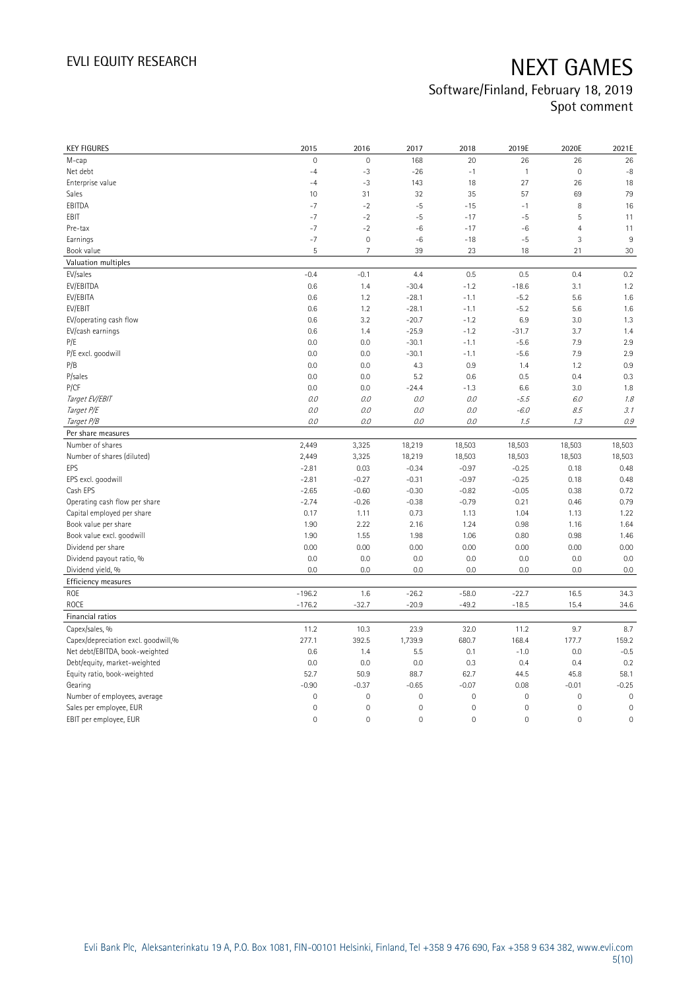| <b>KEY FIGURES</b>                  | 2015                 | 2016           | 2017               | 2018                | 2019E               | 2020E               | 2021E        |
|-------------------------------------|----------------------|----------------|--------------------|---------------------|---------------------|---------------------|--------------|
| M-cap                               | 0                    | $\mathbf{0}$   | 168                | 20                  | 26                  | 26                  | 26           |
| Net debt                            | $-4$                 | $-3$           | $-26$              | $-1$                | $\mathbf{1}$        | $\mathbf 0$         | $-8$         |
| Enterprise value                    | $-4$                 | $-3$           | 143                | 18                  | 27                  | 26                  | 18           |
| Sales                               | 10                   | 31             | 32                 | 35                  | 57                  | 69                  | 79           |
| EBITDA                              | $-7$                 | $-2$           | $-5$               | $-15$               | $-1$                | 8                   | 16           |
| EBIT                                | $-7$                 | $-2$           | $-5$               | $-17$               | $-5$                | 5                   | 11           |
| Pre-tax                             | $-7$                 | $-2$           | $^{\rm -6}$        | $-17$               | -6                  | $\overline{4}$      | 11           |
| Earnings                            | $-7$                 | $\mathbf 0$    | $-6$               | $-18$               | -5                  | 3                   | 9            |
| Book value                          | 5                    | $\overline{7}$ | 39                 | 23                  | 18                  | 21                  | 30           |
| Valuation multiples                 |                      |                |                    |                     |                     |                     |              |
| EV/sales                            | $-0.4$               | $-0.1$         | 4.4                | 0.5                 | 0.5                 | 0.4                 | 0.2          |
| EV/EBITDA                           | 0.6                  | 1.4            | $-30.4$            | $-1.2$              | $-18.6$             | 3.1                 | 1.2          |
| EV/EBITA                            | 0.6                  | 1.2            | $-28.1$            | $-1.1$              | $-5.2$              | 5.6                 | 1.6          |
| EV/EBIT                             | 0.6                  | 1.2            | $-28.1$            | $-1.1$              | $-5.2$              | 5.6                 | 1.6          |
| EV/operating cash flow              | 0.6                  | 3.2            | $-20.7$            | $-1.2$              | 6.9                 | 3.0                 | 1.3          |
| EV/cash earnings                    | 0.6                  | 1.4            | $-25.9$            | $-1.2$              | $-31.7$             | 3.7                 | 1.4          |
| P/E                                 | 0.0                  | 0.0            | $-30.1$            | $-1.1$              | $-5.6$              | 7.9                 | 2.9          |
| P/E excl. goodwill                  | 0.0                  | 0.0            | $-30.1$            | $-1.1$              | $-5.6$              | 7.9                 | 2.9          |
| P/B                                 | 0.0                  | 0.0            | 4.3                | 0.9                 | 1.4                 | 1.2                 | 0.9          |
| P/sales                             | 0.0                  | 0.0            | 5.2                | 0.6                 | 0.5                 | 0.4                 | 0.3          |
| P/CF                                | 0.0                  | 0.0            | $-24.4$            | $-1.3$              | 6.6                 | 3.0                 | 1.8          |
| Target EV/EBIT                      | 0.0                  | 0.0            | 0.0                | 0.0                 | $-5.5$              | 6.0                 | 1.8          |
| Target P/E                          | 0.0                  | 0.0            | 0.0                | 0.0                 | $-6.0$              | 8.5                 | 3.1          |
| Target P/B                          | 0.0                  | 0.0            | 0.0                | 0.0                 | 1.5                 | 1.3                 | $0.9\,$      |
| Per share measures                  |                      |                |                    |                     |                     |                     |              |
|                                     |                      |                |                    |                     |                     |                     |              |
|                                     |                      |                |                    |                     |                     |                     |              |
| Number of shares                    | 2,449                | 3,325          | 18,219             | 18,503              | 18,503              | 18,503              | 18,503       |
| Number of shares (diluted)          | 2,449                | 3,325          | 18,219             | 18,503              | 18,503              | 18,503              | 18,503       |
| EPS                                 | $-2.81$              | 0.03           | $-0.34$            | $-0.97$             | $-0.25$             | 0.18                | 0.48         |
| EPS excl. goodwill                  | $-2.81$              | $-0.27$        | $-0.31$            | $-0.97$             | $-0.25$             | 0.18                | 0.48         |
| Cash EPS                            | $-2.65$              | $-0.60$        | $-0.30$            | $-0.82$             | $-0.05$             | 0.38                | 0.72         |
| Operating cash flow per share       | $-2.74$              | $-0.26$        | $-0.38$            | $-0.79$             | 0.21                | 0.46                | 0.79         |
| Capital employed per share          | 0.17                 | 1.11           | 0.73               | 1.13                | 1.04                | 1.13                | 1.22         |
| Book value per share                | 1.90                 | 2.22           | 2.16               | 1.24                | 0.98                | 1.16                | 1.64         |
| Book value excl. goodwill           | 1.90                 | 1.55           | 1.98               | 1.06                | 0.80                | 0.98                | 1.46         |
| Dividend per share                  | 0.00                 | 0.00           | 0.00               | 0.00                | 0.00                | 0.00                | 0.00         |
| Dividend payout ratio, %            | 0.0                  | 0.0            | 0.0                | 0.0                 | 0.0                 | 0.0                 | 0.0          |
| Dividend yield, %                   | 0.0                  | 0.0            | 0.0                | 0.0                 | 0.0                 | 0.0                 | 0.0          |
| Efficiency measures                 |                      |                |                    |                     |                     |                     |              |
| ROE<br>ROCE                         | $-196.2$<br>$-176.2$ | 1.6<br>$-32.7$ | $-26.2$<br>$-20.9$ | $-58.0$<br>$-49.2$  | $-22.7$<br>$-18.5$  | 16.5<br>15.4        | 34.3<br>34.6 |
| Financial ratios                    |                      |                |                    |                     |                     |                     |              |
| Capex/sales, %                      | 11.2                 | 10.3           | 23.9               | 32.0                | 11.2                | 9.7                 | 8.7          |
| Capex/depreciation excl. goodwill,% | 277.1                | 392.5          | 1,739.9            | 680.7               | 168.4               | 177.7               | 159.2        |
| Net debt/EBITDA, book-weighted      | 0.6                  | 1.4            | 5.5                | 0.1                 | $-1.0$              | 0.0                 | $-0.5$       |
| Debt/equity, market-weighted        | 0.0                  | 0.0            | 0.0                | 0.3                 | 0.4                 | 0.4                 | 0.2          |
| Equity ratio, book-weighted         | 52.7                 | 50.9           | 88.7               | 62.7                | 44.5                | 45.8                | 58.1         |
| Gearing                             | $-0.90$              | $-0.37$        | $-0.65$            | $-0.07$             | 0.08                | $-0.01$             | $-0.25$      |
| Number of employees, average        | $\overline{0}$       | $\mathbb O$    | $\mathbf 0$        | $\mathsf{O}\xspace$ | $\mathsf{O}\xspace$ | $\mathbf 0$         | $\mathbf 0$  |
| Sales per employee, EUR             | $\mathsf{O}\xspace$  | $\mathbf 0$    | $\mathbf 0$        | 0                   | $\mathsf{O}\xspace$ | 0                   | $\mathbf 0$  |
| EBIT per employee, EUR              | 0                    | $\mathbf 0$    | $\overline{0}$     | 0                   | $\mathbb O$         | $\mathsf{O}\xspace$ | $\mathbf 0$  |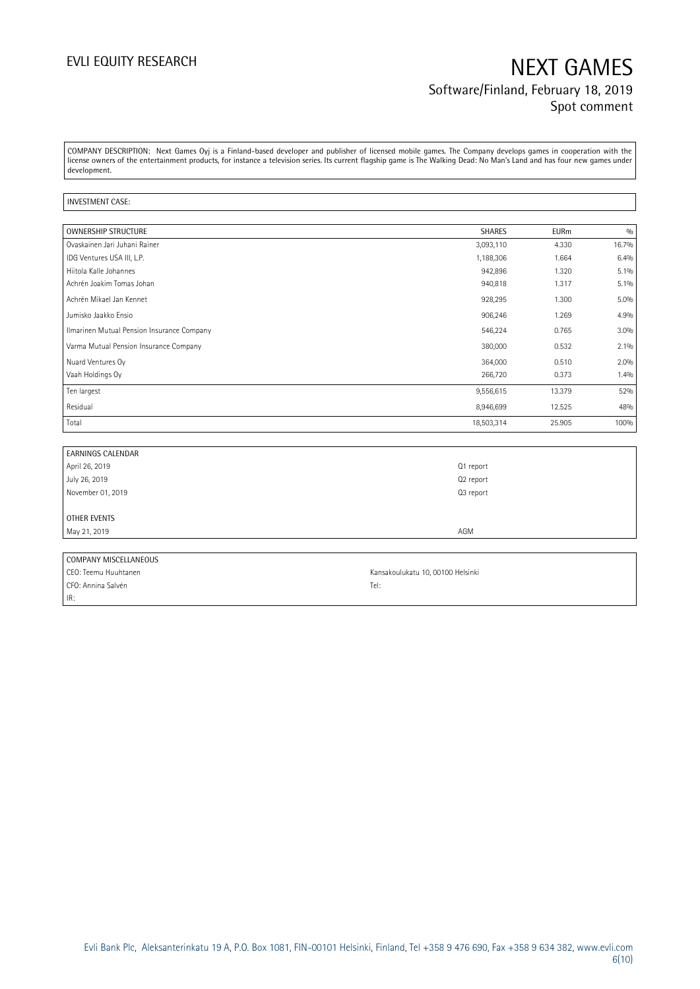## EVLI EQUITY RESEARCH NEXT GAMES Software/Finland, February 18, 2019 Spot comment

COMPANY DESCRIPTION: Next Games Oyj is a Finland-based developer and publisher of licensed mobile games. The Company develops games in cooperation with the license owners of the entertainment products, for instance a television series. Its current flagship game is The Walking Dead: No Man's Land and has four new games under development.

### INVESTMENT CASE:

| <b>OWNERSHIP STRUCTURE</b>                 | <b>SHARES</b> | <b>EURm</b> | 0/0     |
|--------------------------------------------|---------------|-------------|---------|
| Ovaskainen Jari Juhani Rainer              | 3,093,110     | 4.330       | 16.7%   |
| IDG Ventures USA III, L.P.                 | 1,188,306     | 1.664       | 6.4%    |
| Hiitola Kalle Johannes                     | 942,896       | 1.320       | $5.1\%$ |
| Achrén Joakim Tomas Johan                  | 940,818       | 1.317       | $5.1\%$ |
| Achrén Mikael Jan Kennet                   | 928,295       | 1.300       | 5.0%    |
| Jumisko Jaakko Ensio                       | 906,246       | 1.269       | 4.9%    |
| Ilmarinen Mutual Pension Insurance Company | 546,224       | 0.765       | 3.0%    |
| Varma Mutual Pension Insurance Company     | 380,000       | 0.532       | 2.1%    |
| Nuard Ventures Oy                          | 364,000       | 0.510       | 2.0%    |
| Vaah Holdings Oy                           | 266,720       | 0.373       | 1.4%    |
| Ten largest                                | 9,556,615     | 13.379      | 52%     |
| Residual                                   | 8,946,699     | 12.525      | 48%     |
| Total                                      | 18,503,314    | 25.905      | 100%    |

| <b>EARNINGS CALENDAR</b> |                                   |
|--------------------------|-----------------------------------|
| April 26, 2019           | Q1 report                         |
| July 26, 2019            | Q2 report                         |
| November 01, 2019        | Q3 report                         |
|                          |                                   |
| OTHER EVENTS             |                                   |
| May 21, 2019             | AGM                               |
|                          |                                   |
| COMPANY MISCELLANEOUS    |                                   |
| CEO: Teemu Huuhtanen     | Kansakoulukatu 10, 00100 Helsinki |

CFO: Annina Salvén Tel: IR: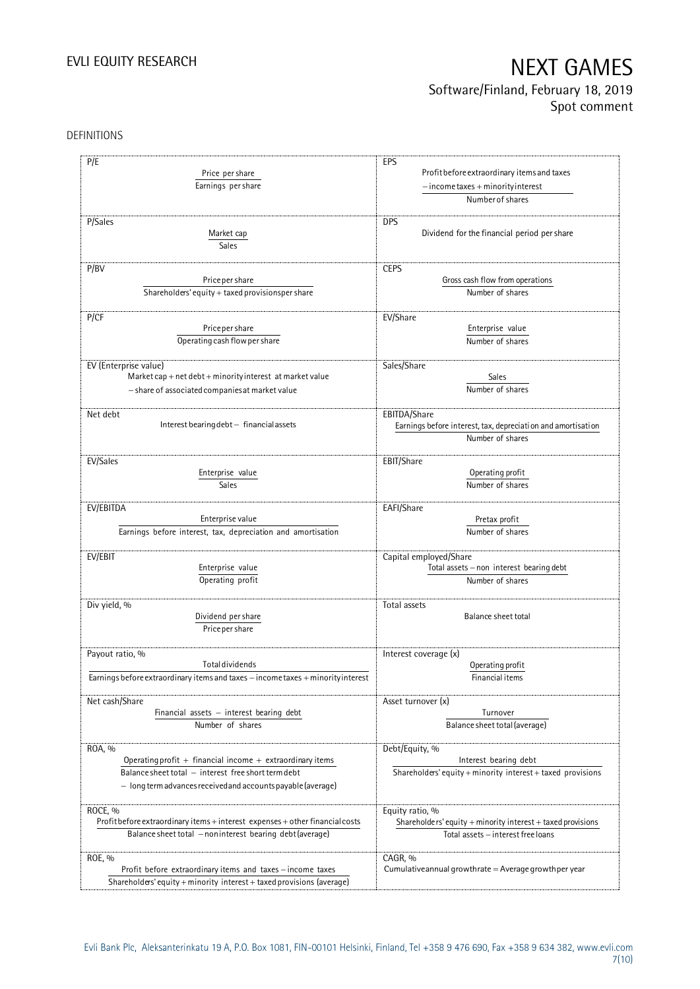## Software/Finland, February 18, 2019 Spot comment

### DEFINITIONS

| P/E                                                                              | EPS                                                                |
|----------------------------------------------------------------------------------|--------------------------------------------------------------------|
|                                                                                  |                                                                    |
| Price per share                                                                  | Profit before extraordinary items and taxes                        |
| Earnings per share                                                               | $-$ income taxes + minority interest                               |
|                                                                                  | Number of shares                                                   |
| P/Sales                                                                          | <b>DPS</b>                                                         |
|                                                                                  | Dividend for the financial period per share                        |
| Market cap                                                                       |                                                                    |
| Sales                                                                            |                                                                    |
| P/BV                                                                             | <b>CEPS</b>                                                        |
| Price per share                                                                  | Gross cash flow from operations                                    |
| Shareholders' equity + taxed provisionsper share                                 | Number of shares                                                   |
|                                                                                  |                                                                    |
| P/CF                                                                             | EV/Share                                                           |
| Price per share                                                                  | Enterprise value                                                   |
| Operating cash flow per share                                                    | Number of shares                                                   |
|                                                                                  |                                                                    |
| EV (Enterprise value)                                                            | Sales/Share                                                        |
| Market cap + net debt + minority interest at market value                        | Sales                                                              |
| - share of associated companies at market value                                  | Number of shares                                                   |
|                                                                                  |                                                                    |
| Net debt                                                                         | EBITDA/Share                                                       |
| Interest bearing debt - financial assets                                         | Earnings before interest, tax, depreciation and amortisation       |
|                                                                                  | Number of shares                                                   |
| EV/Sales                                                                         | EBIT/Share                                                         |
| Enterprise value                                                                 | Operating profit                                                   |
| <b>Sales</b>                                                                     | Number of shares                                                   |
|                                                                                  |                                                                    |
| EV/EBITDA                                                                        | EAFI/Share                                                         |
| Enterprise value                                                                 | Pretax profit                                                      |
| Earnings before interest, tax, depreciation and amortisation                     | Number of shares                                                   |
|                                                                                  |                                                                    |
| EV/EBIT                                                                          | Capital employed/Share<br>Total assets - non interest bearing debt |
| Enterprise value                                                                 |                                                                    |
| Operating profit                                                                 | Number of shares                                                   |
| Div yield, %                                                                     | Total assets                                                       |
| Dividend per share                                                               | Balance sheet total                                                |
| Price per share                                                                  |                                                                    |
|                                                                                  |                                                                    |
| Payout ratio, %                                                                  | Interest coverage (x)                                              |
| <b>Total dividends</b>                                                           | Operating profit                                                   |
| Earnings before extraordinary items and taxes - income taxes + minority interest | Financial items                                                    |
|                                                                                  |                                                                    |
| Net cash/Share                                                                   | Asset turnover (x)                                                 |
| Financial assets $-$ interest bearing debt                                       | Turnover                                                           |
| Number of shares                                                                 | Balance sheet total (average)                                      |
| ROA, %                                                                           | Debt/Equity, %                                                     |
| Operating profit + financial income + extraordinary items                        | Interest bearing debt                                              |
| Balance sheet total - interest free short term debt                              | Shareholders' equity + minority interest + taxed provisions        |
| - long term advances received and accounts payable (average)                     |                                                                    |
|                                                                                  |                                                                    |
| ROCE, %                                                                          | Equity ratio, %                                                    |
| Profit before extraordinary items + interest expenses + other financial costs    | Shareholders' equity + minority interest + taxed provisions        |
| Balance sheet total - noninterest bearing debt (average)                         | Total assets - interest free loans                                 |
|                                                                                  |                                                                    |
| ROE, %                                                                           | CAGR, %                                                            |
| Profit before extraordinary items and taxes - income taxes                       | Cumulative annual growthrate $=$ Average growthper year            |
| Shareholders' equity + minority interest + taxed provisions (average)            |                                                                    |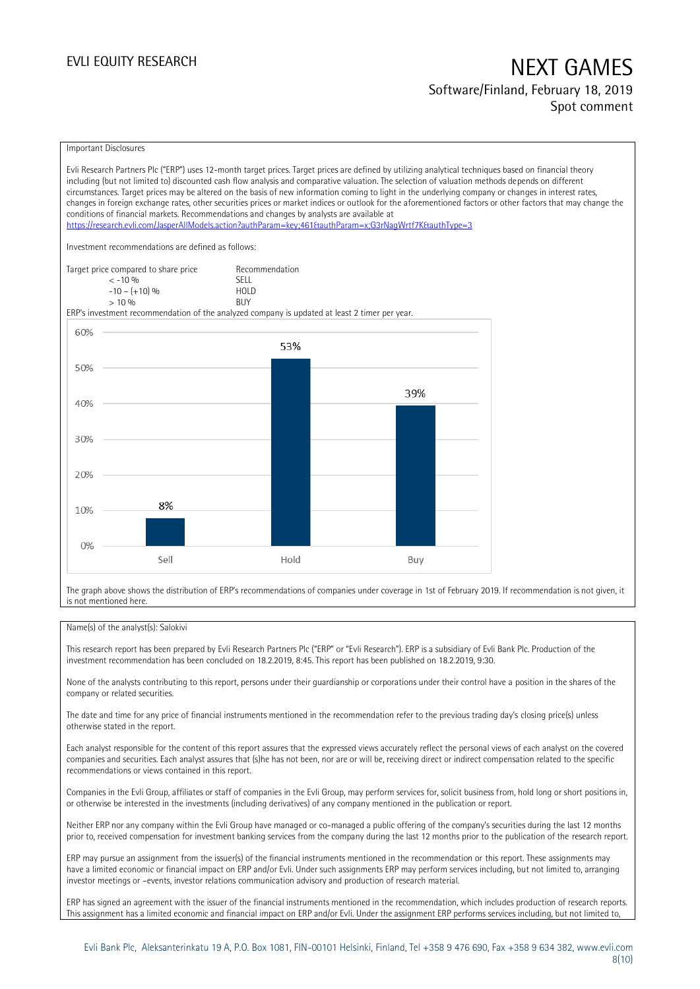### Software/Finland, February 18, 2019 Spot comment

### Important Disclosures

Evli Research Partners Plc ("ERP") uses 12-month target prices. Target prices are defined by utilizing analytical techniques based on financial theory including (but not limited to) discounted cash flow analysis and comparative valuation. The selection of valuation methods depends on different circumstances. Target prices may be altered on the basis of new information coming to light in the underlying company or changes in interest rates, changes in foreign exchange rates, other securities prices or market indices or outlook for the aforementioned factors or other factors that may change the conditions of financial markets. Recommendations and changes by analysts are available at <https://research.evli.com/JasperAllModels.action?authParam=key;461&authParam=x;G3rNagWrtf7K&authType=3> Investment recommendations are defined as follows: Target price compared to share price Recommendation<br>  $\leq 10\%$  $\langle 5, 10, 10 \rangle$  SELL<br> $\langle -10, 10, 10 \rangle$  SELL  $-10 - (+10) \%$  HOL<br>  $> 10 \%$  RIJY  $> 10\%$ ERP's investment recommendation of the analyzed company is updated at least 2 timer per year. 60% 53% 50% 39% 40% 30% 20% 8% 10%  $0%$ Sell Hold Buy

The graph above shows the distribution of ERP's recommendations of companies under coverage in 1st of February 2019. If recommendation is not given, it is not mentioned here.

### Name(s) of the analyst(s): Salokivi

This research report has been prepared by Evli Research Partners Plc ("ERP" or "Evli Research"). ERP is a subsidiary of Evli Bank Plc. Production of the investment recommendation has been concluded on 18.2.2019, 8:45. This report has been published on 18.2.2019, 9:30.

None of the analysts contributing to this report, persons under their guardianship or corporations under their control have a position in the shares of the company or related securities.

The date and time for any price of financial instruments mentioned in the recommendation refer to the previous trading day's closing price(s) unless otherwise stated in the report.

Each analyst responsible for the content of this report assures that the expressed views accurately reflect the personal views of each analyst on the covered companies and securities. Each analyst assures that (s)he has not been, nor are or will be, receiving direct or indirect compensation related to the specific recommendations or views contained in this report.

Companies in the Evli Group, affiliates or staff of companies in the Evli Group, may perform services for, solicit business from, hold long or short positions in, or otherwise be interested in the investments (including derivatives) of any company mentioned in the publication or report.

Neither ERP nor any company within the Evli Group have managed or co-managed a public offering of the company's securities during the last 12 months prior to, received compensation for investment banking services from the company during the last 12 months prior to the publication of the research report.

ERP may pursue an assignment from the issuer(s) of the financial instruments mentioned in the recommendation or this report. These assignments may have a limited economic or financial impact on ERP and/or Evli. Under such assignments ERP may perform services including, but not limited to, arranging investor meetings or –events, investor relations communication advisory and production of research material.

ERP has signed an agreement with the issuer of the financial instruments mentioned in the recommendation, which includes production of research reports. This assignment has a limited economic and financial impact on ERP and/or Evli. Under the assignment ERP performs services including, but not limited to,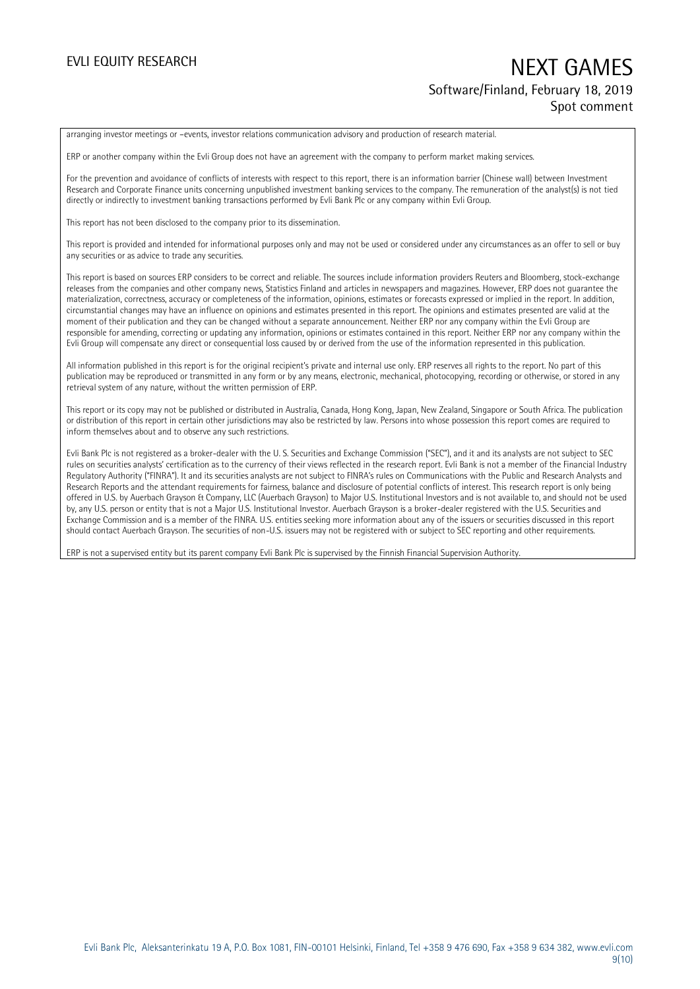## EVLI EQUITY RESEARCH NEXT GAMES Software/Finland, February 18, 2019 Spot comment

arranging investor meetings or –events, investor relations communication advisory and production of research material.

ERP or another company within the Evli Group does not have an agreement with the company to perform market making services.

For the prevention and avoidance of conflicts of interests with respect to this report, there is an information barrier (Chinese wall) between Investment Research and Corporate Finance units concerning unpublished investment banking services to the company. The remuneration of the analyst(s) is not tied directly or indirectly to investment banking transactions performed by Evli Bank Plc or any company within Evli Group.

This report has not been disclosed to the company prior to its dissemination.

This report is provided and intended for informational purposes only and may not be used or considered under any circumstances as an offer to sell or buy any securities or as advice to trade any securities.

This report is based on sources ERP considers to be correct and reliable. The sources include information providers Reuters and Bloomberg, stock-exchange releases from the companies and other company news, Statistics Finland and articles in newspapers and magazines. However, ERP does not guarantee the materialization, correctness, accuracy or completeness of the information, opinions, estimates or forecasts expressed or implied in the report. In addition, circumstantial changes may have an influence on opinions and estimates presented in this report. The opinions and estimates presented are valid at the moment of their publication and they can be changed without a separate announcement. Neither ERP nor any company within the Evli Group are responsible for amending, correcting or updating any information, opinions or estimates contained in this report. Neither ERP nor any company within the Evli Group will compensate any direct or consequential loss caused by or derived from the use of the information represented in this publication.

All information published in this report is for the original recipient's private and internal use only. ERP reserves all rights to the report. No part of this publication may be reproduced or transmitted in any form or by any means, electronic, mechanical, photocopying, recording or otherwise, or stored in any retrieval system of any nature, without the written permission of ERP.

This report or its copy may not be published or distributed in Australia, Canada, Hong Kong, Japan, New Zealand, Singapore or South Africa. The publication or distribution of this report in certain other jurisdictions may also be restricted by law. Persons into whose possession this report comes are required to inform themselves about and to observe any such restrictions.

Evli Bank Plc is not registered as a broker-dealer with the U. S. Securities and Exchange Commission ("SEC"), and it and its analysts are not subject to SEC rules on securities analysts' certification as to the currency of their views reflected in the research report. Evli Bank is not a member of the Financial Industry Regulatory Authority ("FINRA"). It and its securities analysts are not subject to FINRA's rules on Communications with the Public and Research Analysts and Research Reports and the attendant requirements for fairness, balance and disclosure of potential conflicts of interest. This research report is only being offered in U.S. by Auerbach Grayson & Company, LLC (Auerbach Grayson) to Major U.S. Institutional Investors and is not available to, and should not be used by, any U.S. person or entity that is not a Major U.S. Institutional Investor. Auerbach Grayson is a broker-dealer registered with the U.S. Securities and Exchange Commission and is a member of the FINRA. U.S. entities seeking more information about any of the issuers or securities discussed in this report should contact Auerbach Grayson. The securities of non-U.S. issuers may not be registered with or subject to SEC reporting and other requirements.

ERP is not a supervised entity but its parent company Evli Bank Plc is supervised by the Finnish Financial Supervision Authority.